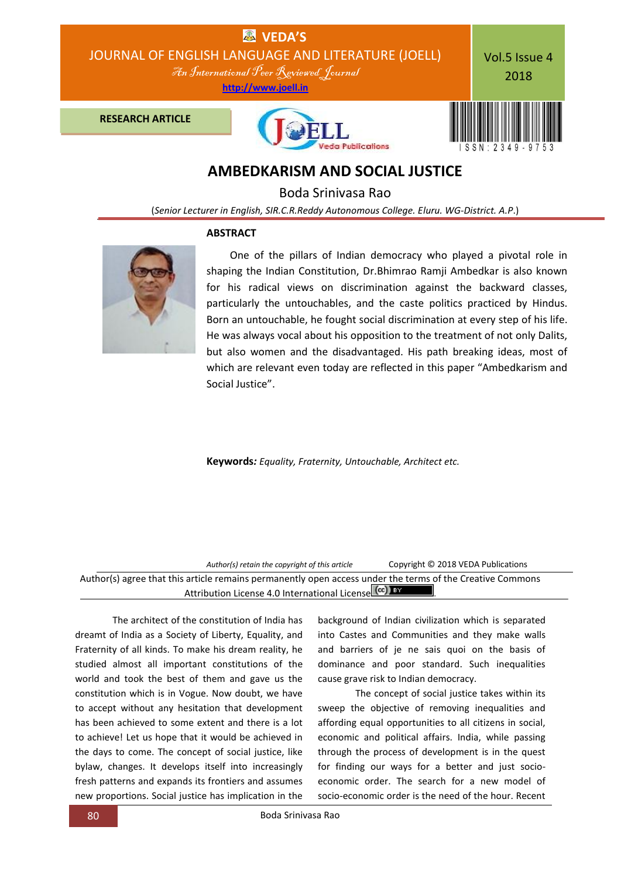

# **AMBEDKARISM AND SOCIAL JUSTICE**

Boda Srinivasa Rao

(*Senior Lecturer in English, SIR.C.R.Reddy Autonomous College. Eluru. WG-District. A.P*.)

#### **ABSTRACT**



 One of the pillars of Indian democracy who played a pivotal role in shaping the Indian Constitution, Dr.Bhimrao Ramji Ambedkar is also known for his radical views on discrimination against the backward classes, particularly the untouchables, and the caste politics practiced by Hindus. Born an untouchable, he fought social discrimination at every step of his life. He was always vocal about his opposition to the treatment of not only Dalits, but also women and the disadvantaged. His path breaking ideas, most of which are relevant even today are reflected in this paper "Ambedkarism and Social Justice".

**Keywords***: Equality, Fraternity, Untouchable, Architect etc.*

*Author(s) retain the copyright of this article* Copyright © 2018 VEDA Publications

Author(s) agree that this article remains permanently open access under the terms of the Creative Commons Attribution License 4.0 International License (cc) BY

The architect of the constitution of India has dreamt of India as a Society of Liberty, Equality, and Fraternity of all kinds. To make his dream reality, he studied almost all important constitutions of the world and took the best of them and gave us the constitution which is in Vogue. Now doubt, we have to accept without any hesitation that development has been achieved to some extent and there is a lot to achieve! Let us hope that it would be achieved in the days to come. The concept of social justice, like bylaw, changes. It develops itself into increasingly fresh patterns and expands its frontiers and assumes new proportions. Social justice has implication in the

background of Indian civilization which is separated into Castes and Communities and they make walls and barriers of je ne sais quoi on the basis of dominance and poor standard. Such inequalities cause grave risk to Indian democracy.

The concept of social justice takes within its sweep the objective of removing inequalities and affording equal opportunities to all citizens in social, economic and political affairs. India, while passing through the process of development is in the quest for finding our ways for a better and just socioeconomic order. The search for a new model of socio-economic order is the need of the hour. Recent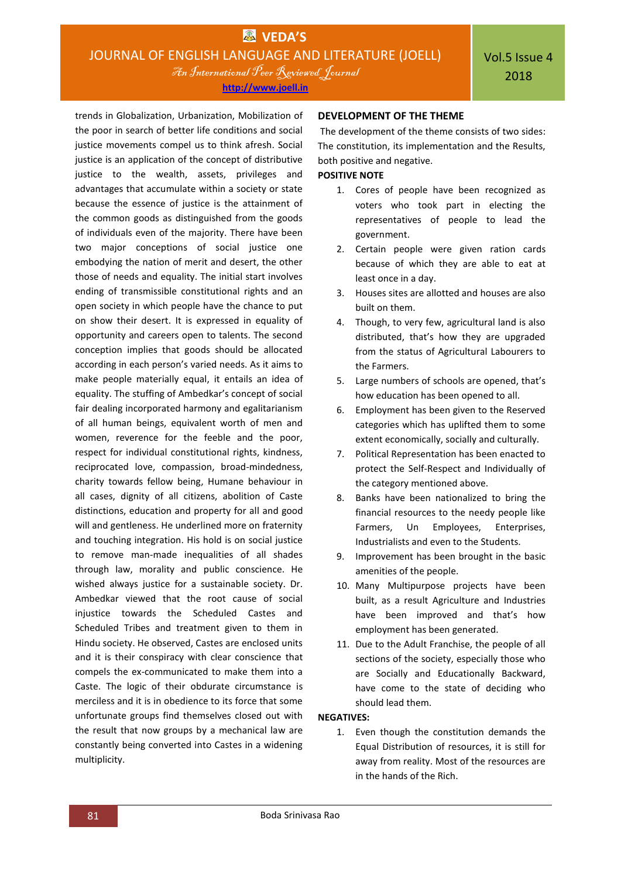# **http://www.joell.in**

trends in Globalization, Urbanization, Mobilization of the poor in search of better life conditions and social justice movements compel us to think afresh. Social justice is an application of the concept of distributive justice to the wealth, assets, privileges and advantages that accumulate within a society or state because the essence of justice is the attainment of the common goods as distinguished from the goods of individuals even of the majority. There have been two major conceptions of social justice one embodying the nation of merit and desert, the other those of needs and equality. The initial start involves ending of transmissible constitutional rights and an open society in which people have the chance to put on show their desert. It is expressed in equality of opportunity and careers open to talents. The second conception implies that goods should be allocated according in each person's varied needs. As it aims to make people materially equal, it entails an idea of equality. The stuffing of Ambedkar's concept of social fair dealing incorporated harmony and egalitarianism of all human beings, equivalent worth of men and women, reverence for the feeble and the poor, respect for individual constitutional rights, kindness, reciprocated love, compassion, broad-mindedness, charity towards fellow being, Humane behaviour in all cases, dignity of all citizens, abolition of Caste distinctions, education and property for all and good will and gentleness. He underlined more on fraternity and touching integration. His hold is on social justice to remove man-made inequalities of all shades through law, morality and public conscience. He wished always justice for a sustainable society. Dr. Ambedkar viewed that the root cause of social injustice towards the Scheduled Castes and Scheduled Tribes and treatment given to them in Hindu society. He observed, Castes are enclosed units and it is their conspiracy with clear conscience that compels the ex-communicated to make them into a Caste. The logic of their obdurate circumstance is merciless and it is in obedience to its force that some unfortunate groups find themselves closed out with the result that now groups by a mechanical law are constantly being converted into Castes in a widening multiplicity.

### **DEVELOPMENT OF THE THEME**

The development of the theme consists of two sides: The constitution, its implementation and the Results, both positive and negative.

# **POSITIVE NOTE**

- 1. Cores of people have been recognized as voters who took part in electing the representatives of people to lead the government.
- 2. Certain people were given ration cards because of which they are able to eat at least once in a day.
- 3. Houses sites are allotted and houses are also built on them.
- 4. Though, to very few, agricultural land is also distributed, that's how they are upgraded from the status of Agricultural Labourers to the Farmers.
- 5. Large numbers of schools are opened, that's how education has been opened to all.
- 6. Employment has been given to the Reserved categories which has uplifted them to some extent economically, socially and culturally.
- 7. Political Representation has been enacted to protect the Self-Respect and Individually of the category mentioned above.
- 8. Banks have been nationalized to bring the financial resources to the needy people like Farmers, Un Employees, Enterprises, Industrialists and even to the Students.
- 9. Improvement has been brought in the basic amenities of the people.
- 10. Many Multipurpose projects have been built, as a result Agriculture and Industries have been improved and that's how employment has been generated.
- 11. Due to the Adult Franchise, the people of all sections of the society, especially those who are Socially and Educationally Backward, have come to the state of deciding who should lead them.

#### **NEGATIVES:**

1. Even though the constitution demands the Equal Distribution of resources, it is still for away from reality. Most of the resources are in the hands of the Rich.